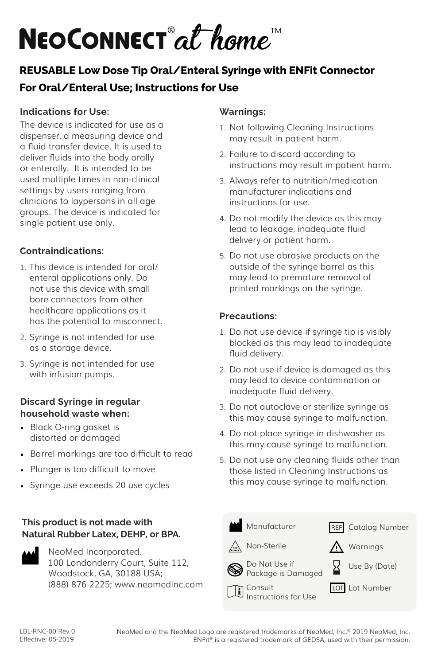# NEOCONNECT<sup>®</sup>at home

# **REUSABLE Low Dose Tip Oral/Enteral Syringe with ENFit Connector For Oral/Enteral Use; Instructions for Use**

### **Indications for Use:**

The device is indicated for use as a dispenser, a measuring device and a fluid transfer device. It is used to deliver fluids into the body orally or enterally. It is intended to be used multiple times in non-clinical settings by users ranging from clinicians to laypersons in all age groups. The device is indicated for single patient use only.

# **Contraindications:**

- 1. This device is intended for oral/ enteral applications only. Do not use this device with small bore connectors from other healthcare applications as it has the potential to misconnect.
- 2. Syringe is not intended for use as a storage device.
- 3. Syringe is not intended for use with infusion pumps.

#### **Discard Syringe in regular household waste when:**

- Black O-ring gasket is distorted or damaged
- Barrel markings are too difficult to read
- Plunger is too difficult to move
- Syringe use exceeds 20 use cycles

## **This product is not made with Natural Rubber Latex, DEHP, or BPA.**



NeoMed Incorporated, 100 Londonderry Court, Suite 112, Woodstock, GA, 30188 USA; (888) 876-2225; www.neomedinc.com

#### **Warnings:**

- 1. Not following Cleaning Instructions may result in patient harm.
- 2. Failure to discard according to instructions may result in patient harm.
- 3. Always refer to nutrition/medication manufacturer indications and instructions for use.
- 4. Do not modify the device as this may lead to leakage, inadequate fluid delivery or patient harm.
- 5. Do not use abrasive products on the outside of the syringe barrel as this may lead to premature removal of printed markings on the syringe.

#### **Precautions:**

- 1. Do not use device if syringe tip is visibly blocked as this may lead to inadequate fluid delivery.
- 2. Do not use if device is damaged as this may lead to device contamination or inadequate fluid delivery.
- 3. Do not autoclave or sterilize syringe as this may cause syringe to malfunction.
- 4. Do not place syringe in dishwasher as this may cause syringe to malfunction.
- 5. Do not use any cleaning fluids other than those listed in Cleaning Instructions as this may cause syringe to malfunction.



NeoMed and the NeoMed Logo are registered trademarks of NeoMed, Inc.© 2019 NeoMed, Inc. ENFit® is a registered trademark of GEDSA, used with their permission.